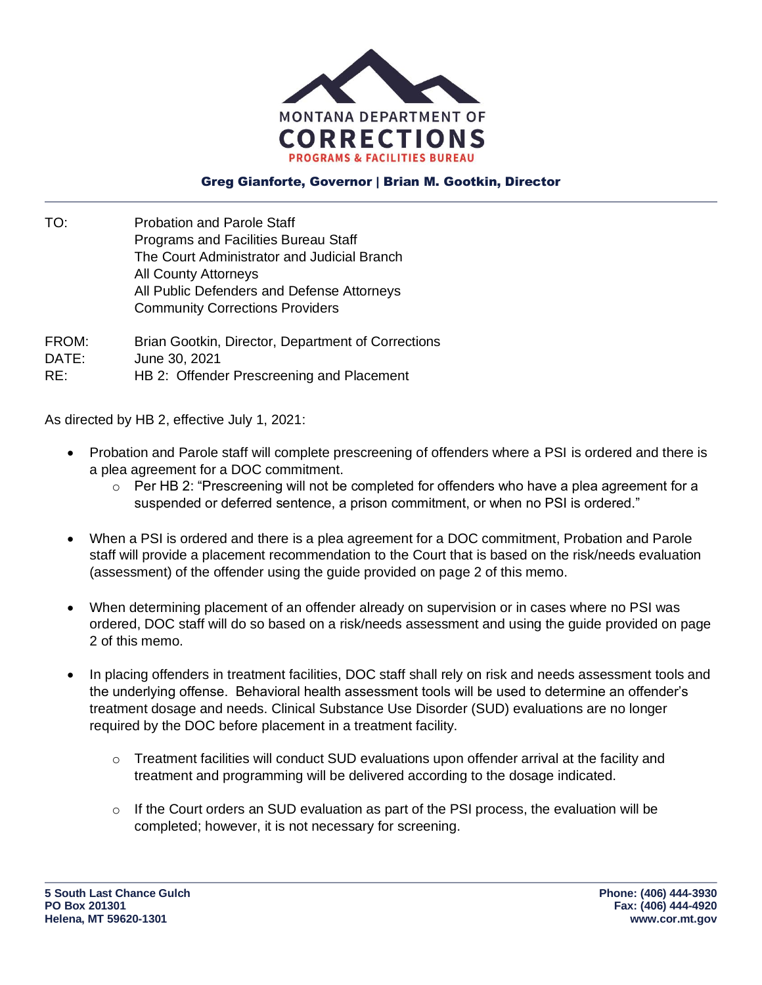

## Greg Gianforte, Governor | Brian M. Gootkin, Director

- TO: Probation and Parole Staff Programs and Facilities Bureau Staff The Court Administrator and Judicial Branch All County Attorneys All Public Defenders and Defense Attorneys Community Corrections Providers
- FROM: Brian Gootkin, Director, Department of Corrections DATE: June 30, 2021 RE: HB 2: Offender Prescreening and Placement

As directed by HB 2, effective July 1, 2021:

- Probation and Parole staff will complete prescreening of offenders where a PSI is ordered and there is a plea agreement for a DOC commitment.
	- $\circ$  Per HB 2: "Prescreening will not be completed for offenders who have a plea agreement for a suspended or deferred sentence, a prison commitment, or when no PSI is ordered."
- When a PSI is ordered and there is a plea agreement for a DOC commitment, Probation and Parole staff will provide a placement recommendation to the Court that is based on the risk/needs evaluation (assessment) of the offender using the guide provided on page 2 of this memo.
- When determining placement of an offender already on supervision or in cases where no PSI was ordered, DOC staff will do so based on a risk/needs assessment and using the guide provided on page 2 of this memo.
- In placing offenders in treatment facilities, DOC staff shall rely on risk and needs assessment tools and the underlying offense. Behavioral health assessment tools will be used to determine an offender's treatment dosage and needs. Clinical Substance Use Disorder (SUD) evaluations are no longer required by the DOC before placement in a treatment facility.
	- $\circ$  Treatment facilities will conduct SUD evaluations upon offender arrival at the facility and treatment and programming will be delivered according to the dosage indicated.
	- $\circ$  If the Court orders an SUD evaluation as part of the PSI process, the evaluation will be completed; however, it is not necessary for screening.